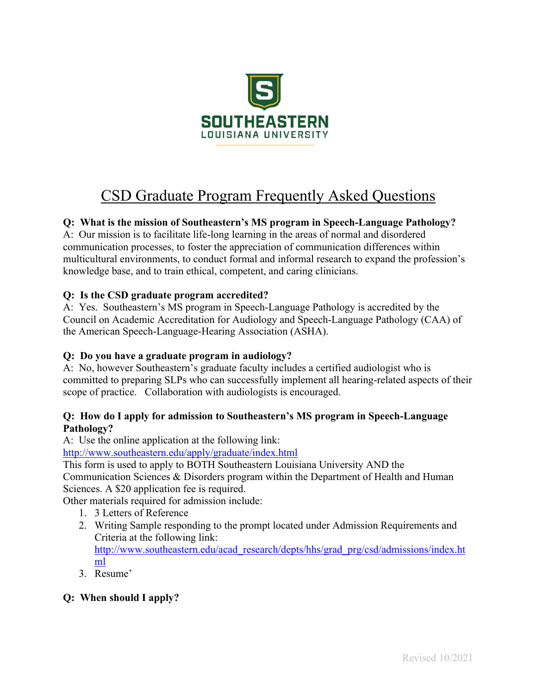

# CSD Graduate Program Frequently Asked Questions

# **Q: What is the mission of Southeastern's MS program in Speech-Language Pathology?**

A: Our mission is to facilitate life-long learning in the areas of normal and disordered communication processes, to foster the appreciation of communication differences within multicultural environments, to conduct formal and informal research to expand the profession's knowledge base, and to train ethical, competent, and caring clinicians.

## **Q: Is the CSD graduate program accredited?**

A: Yes. Southeastern's MS program in Speech-Language Pathology is accredited by the Council on Academic Accreditation for Audiology and Speech-Language Pathology (CAA) of the American Speech-Language-Hearing Association (ASHA).

## **Q: Do you have a graduate program in audiology?**

A: No, however Southeastern's graduate faculty includes a certified audiologist who is committed to preparing SLPs who can successfully implement all hearing-related aspects of their scope of practice. Collaboration with audiologists is encouraged.

## **Q: How do I apply for admission to Southeastern's MS program in Speech-Language Pathology?**

A: Use the online application at the following link:

http://www.southeastern.edu/apply/graduate/index.html

This form is used to apply to BOTH Southeastern Louisiana University AND the

Communication Sciences & Disorders program within the Department of Health and Human Sciences. A \$20 application fee is required.

Other materials required for admission include:

- 1. 3 Letters of Reference
- 2. Writing Sample responding to the prompt located under Admission Requirements and Criteria at the following link: http://www.southeastern.edu/acad\_research/depts/hhs/grad\_prg/csd/admissions/index.ht ml
- 3. Resume'

## **Q: When should I apply?**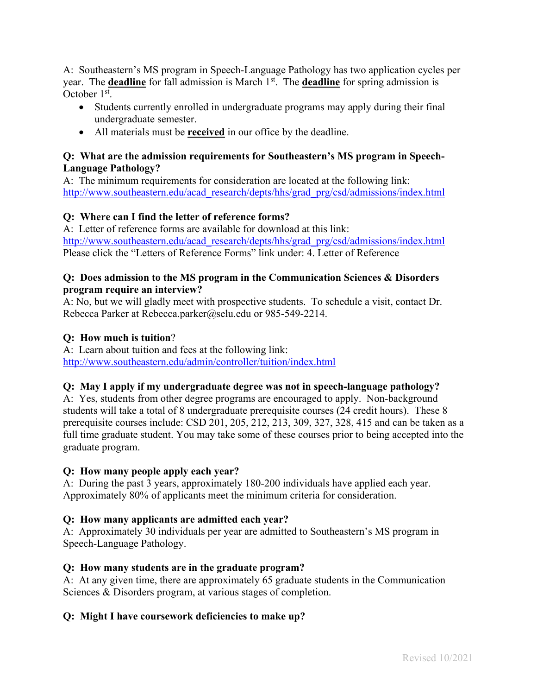A: Southeastern's MS program in Speech-Language Pathology has two application cycles per year. The **deadline** for fall admission is March 1st. The **deadline** for spring admission is October 1st.

- Students currently enrolled in undergraduate programs may apply during their final undergraduate semester.
- All materials must be **received** in our office by the deadline.

#### **Q: What are the admission requirements for Southeastern's MS program in Speech-Language Pathology?**

A: The minimum requirements for consideration are located at the following link: http://www.southeastern.edu/acad\_research/depts/hhs/grad\_prg/csd/admissions/index.html

## **Q: Where can I find the letter of reference forms?**

A: Letter of reference forms are available for download at this link: http://www.southeastern.edu/acad\_research/depts/hhs/grad\_prg/csd/admissions/index.html Please click the "Letters of Reference Forms" link under: 4. Letter of Reference

#### **Q: Does admission to the MS program in the Communication Sciences & Disorders program require an interview?**

A: No, but we will gladly meet with prospective students. To schedule a visit, contact Dr. Rebecca Parker at Rebecca.parker@selu.edu or 985-549-2214.

## **Q: How much is tuition**?

A: Learn about tuition and fees at the following link: http://www.southeastern.edu/admin/controller/tuition/index.html

## **Q: May I apply if my undergraduate degree was not in speech-language pathology?**

A: Yes, students from other degree programs are encouraged to apply. Non-background students will take a total of 8 undergraduate prerequisite courses (24 credit hours). These 8 prerequisite courses include: CSD 201, 205, 212, 213, 309, 327, 328, 415 and can be taken as a full time graduate student. You may take some of these courses prior to being accepted into the graduate program.

## **Q: How many people apply each year?**

A: During the past 3 years, approximately 180-200 individuals have applied each year. Approximately 80% of applicants meet the minimum criteria for consideration.

## **Q: How many applicants are admitted each year?**

A: Approximately 30 individuals per year are admitted to Southeastern's MS program in Speech-Language Pathology.

## **Q: How many students are in the graduate program?**

A: At any given time, there are approximately 65 graduate students in the Communication Sciences & Disorders program, at various stages of completion.

## **Q: Might I have coursework deficiencies to make up?**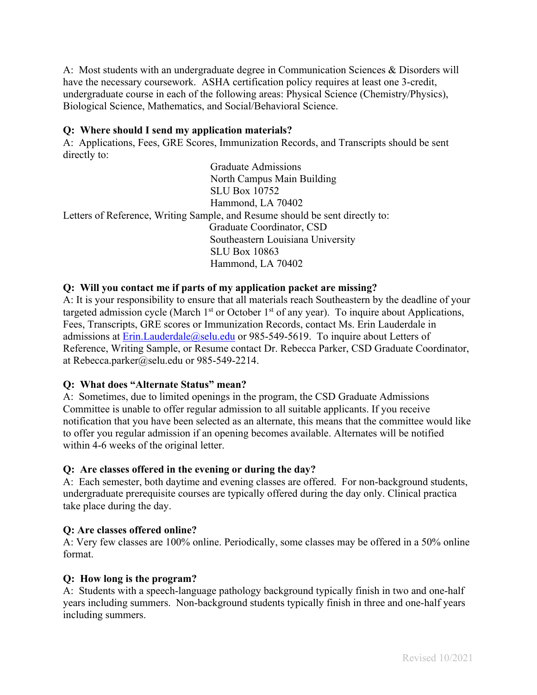A: Most students with an undergraduate degree in Communication Sciences & Disorders will have the necessary coursework. ASHA certification policy requires at least one 3-credit, undergraduate course in each of the following areas: Physical Science (Chemistry/Physics), Biological Science, Mathematics, and Social/Behavioral Science.

#### **Q: Where should I send my application materials?**

A: Applications, Fees, GRE Scores, Immunization Records, and Transcripts should be sent directly to:

 Graduate Admissions North Campus Main Building SLU Box 10752 Hammond, LA 70402 Letters of Reference, Writing Sample, and Resume should be sent directly to: Graduate Coordinator, CSD Southeastern Louisiana University SLU Box 10863 Hammond, LA 70402

#### **Q: Will you contact me if parts of my application packet are missing?**

A: It is your responsibility to ensure that all materials reach Southeastern by the deadline of your targeted admission cycle (March  $1<sup>st</sup>$  or October  $1<sup>st</sup>$  of any year). To inquire about Applications, Fees, Transcripts, GRE scores or Immunization Records, contact Ms. Erin Lauderdale in admissions at Erin.Lauderdale@selu.edu or 985-549-5619. To inquire about Letters of Reference, Writing Sample, or Resume contact Dr. Rebecca Parker, CSD Graduate Coordinator, at Rebecca.parker@selu.edu or 985-549-2214.

#### **Q: What does "Alternate Status" mean?**

A: Sometimes, due to limited openings in the program, the CSD Graduate Admissions Committee is unable to offer regular admission to all suitable applicants. If you receive notification that you have been selected as an alternate, this means that the committee would like to offer you regular admission if an opening becomes available. Alternates will be notified within 4-6 weeks of the original letter.

#### **Q: Are classes offered in the evening or during the day?**

A: Each semester, both daytime and evening classes are offered. For non-background students, undergraduate prerequisite courses are typically offered during the day only. Clinical practica take place during the day.

#### **Q: Are classes offered online?**

A: Very few classes are 100% online. Periodically, some classes may be offered in a 50% online format.

#### **Q: How long is the program?**

A: Students with a speech-language pathology background typically finish in two and one-half years including summers. Non-background students typically finish in three and one-half years including summers.